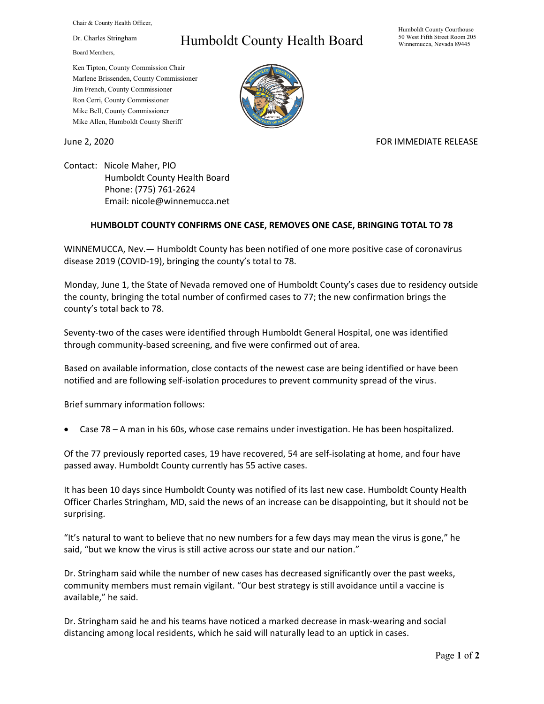Chair & County Health Officer,

Dr. Charles Stringham

Board Members,

## Humboldt County Health Board

Humboldt County Courthouse 50 West Fifth Street Room 205 Winnemucca, Nevada 89445

Ken Tipton, County Commission Chair Marlene Brissenden, County Commissioner Jim French, County Commissioner Ron Cerri, County Commissioner Mike Bell, County Commissioner Mike Allen, Humboldt County Sheriff

## June 2, 2020 **FOR IMMEDIATE RELEASE**

Contact: Nicole Maher, PIO Humboldt County Health Board Phone: (775) 761-2624 Email: nicole@winnemucca.net

## **HUMBOLDT COUNTY CONFIRMS ONE CASE, REMOVES ONE CASE, BRINGING TOTAL TO 78**

WINNEMUCCA, Nev.— Humboldt County has been notified of one more positive case of coronavirus disease 2019 (COVID-19), bringing the county's total to 78.

Monday, June 1, the State of Nevada removed one of Humboldt County's cases due to residency outside the county, bringing the total number of confirmed cases to 77; the new confirmation brings the county's total back to 78.

Seventy-two of the cases were identified through Humboldt General Hospital, one was identified through community-based screening, and five were confirmed out of area.

Based on available information, close contacts of the newest case are being identified or have been notified and are following self-isolation procedures to prevent community spread of the virus.

Brief summary information follows:

• Case 78 – A man in his 60s, whose case remains under investigation. He has been hospitalized.

Of the 77 previously reported cases, 19 have recovered, 54 are self-isolating at home, and four have passed away. Humboldt County currently has 55 active cases.

It has been 10 days since Humboldt County was notified of its last new case. Humboldt County Health Officer Charles Stringham, MD, said the news of an increase can be disappointing, but it should not be surprising.

"It's natural to want to believe that no new numbers for a few days may mean the virus is gone," he said, "but we know the virus is still active across our state and our nation."

Dr. Stringham said while the number of new cases has decreased significantly over the past weeks, community members must remain vigilant. "Our best strategy is still avoidance until a vaccine is available," he said.

Dr. Stringham said he and his teams have noticed a marked decrease in mask-wearing and social distancing among local residents, which he said will naturally lead to an uptick in cases.